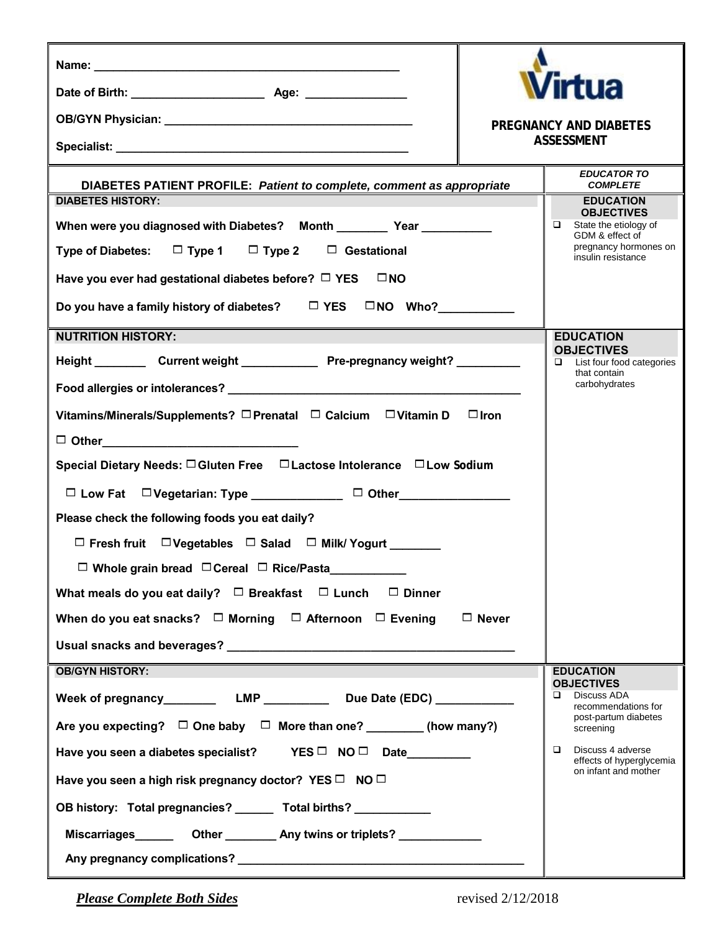|                                                                                                                                                                                                                                |                                                                      | <b>Virtua</b>                           |  |  |
|--------------------------------------------------------------------------------------------------------------------------------------------------------------------------------------------------------------------------------|----------------------------------------------------------------------|-----------------------------------------|--|--|
|                                                                                                                                                                                                                                |                                                                      | PREGNANCY AND DIABETES                  |  |  |
|                                                                                                                                                                                                                                | ASSESSMENT                                                           |                                         |  |  |
|                                                                                                                                                                                                                                |                                                                      | <b>EDUCATOR TO</b>                      |  |  |
| DIABETES PATIENT PROFILE: Patient to complete, comment as appropriate<br><b>DIABETES HISTORY:</b>                                                                                                                              | <b>COMPLETE</b><br><b>EDUCATION</b>                                  |                                         |  |  |
| When were you diagnosed with Diabetes?    Month __________ Year ___________                                                                                                                                                    | <b>OBJECTIVES</b><br>$\Box$ State the etiology of<br>GDM & effect of |                                         |  |  |
| Type of Diabetes: $\Box$ Type 1 $\Box$ Type 2 $\Box$ Gestational                                                                                                                                                               | pregnancy hormones on<br>insulin resistance                          |                                         |  |  |
| Have you ever had gestational diabetes before? $\Box$ YES $\Box$ NO                                                                                                                                                            |                                                                      |                                         |  |  |
| Do you have a family history of diabetes? $\Box$ YES $\Box$ NO Who?                                                                                                                                                            |                                                                      |                                         |  |  |
| <b>NUTRITION HISTORY:</b>                                                                                                                                                                                                      |                                                                      | <b>EDUCATION</b>                        |  |  |
| Height Current weight Pre-pregnancy weight?                                                                                                                                                                                    | <b>OBJECTIVES</b><br>List four food categories<br>that contain       |                                         |  |  |
|                                                                                                                                                                                                                                | carbohydrates                                                        |                                         |  |  |
| Vitamins/Minerals/Supplements? □ Prenatal □ Calcium □ Vitamin D                                                                                                                                                                |                                                                      |                                         |  |  |
| $\Box$ Other $\Box$                                                                                                                                                                                                            |                                                                      |                                         |  |  |
| Special Dietary Needs: O Gluten Free D Lactose Intolerance D Low Sodium                                                                                                                                                        |                                                                      |                                         |  |  |
| □ Low Fat □ Vegetarian: Type _____________ □ Other_____________                                                                                                                                                                |                                                                      |                                         |  |  |
| Please check the following foods you eat daily?                                                                                                                                                                                |                                                                      |                                         |  |  |
| $\Box$ Fresh fruit $\Box$ Vegetables $\Box$ Salad $\Box$ Milk/ Yogurt                                                                                                                                                          |                                                                      |                                         |  |  |
| $\square$ Whole grain bread $\square$ Cereal $\square$ Rice/Pasta                                                                                                                                                              |                                                                      |                                         |  |  |
| What meals do you eat daily? $\Box$ Breakfast $\Box$ Lunch $\Box$ Dinner                                                                                                                                                       |                                                                      |                                         |  |  |
| When do you eat snacks? $\Box$ Morning $\Box$ Afternoon $\Box$ Evening<br>$\Box$ Never                                                                                                                                         |                                                                      |                                         |  |  |
|                                                                                                                                                                                                                                |                                                                      |                                         |  |  |
| <b>OB/GYN HISTORY:</b>                                                                                                                                                                                                         |                                                                      | <b>EDUCATION</b><br><b>OBJECTIVES</b>   |  |  |
|                                                                                                                                                                                                                                |                                                                      | Discuss ADA<br>□<br>recommendations for |  |  |
| Are you expecting? $\Box$ One baby $\Box$ More than one? _________ (how many?)                                                                                                                                                 |                                                                      | post-partum diabetes<br>screening       |  |  |
| Have you seen a diabetes specialist? YES □ NO □ Date                                                                                                                                                                           | Discuss 4 adverse<br>$\Box$<br>effects of hyperglycemia              |                                         |  |  |
| Have you seen a high risk pregnancy doctor? YES □ NO □                                                                                                                                                                         | on infant and mother                                                 |                                         |  |  |
| OB history: Total pregnancies? _______ Total births? __________                                                                                                                                                                |                                                                      |                                         |  |  |
|                                                                                                                                                                                                                                |                                                                      |                                         |  |  |
| Any pregnancy complications? Network and the contract of the contract of the contract of the contract of the contract of the contract of the contract of the contract of the contract of the contract of the contract of the c |                                                                      |                                         |  |  |

*Please Complete Both Sides* revised 2/12/2018